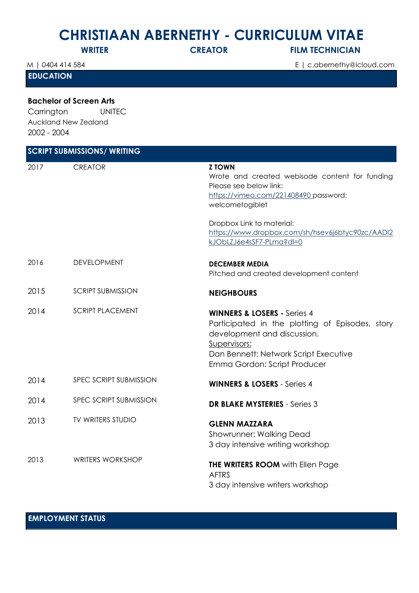## **CHRISTIAAN ABERNETHY - CURRICULUM VITAE**

**WRITER CREATOR FILM TECHNICIAN** 

**EDUCATION**

2002 - 2004

**Bachelor of Screen Arts**  Carrington UNITEC Auckland New Zealand

M | 0404 414 584 E | c.abernethy@icloud.com

| <b>SCRIPT SUBMISSIONS/ WRITING</b> |                          |                                                                                                                                                                                                                   |  |  |
|------------------------------------|--------------------------|-------------------------------------------------------------------------------------------------------------------------------------------------------------------------------------------------------------------|--|--|
| 2017                               | <b>CREATOR</b>           | <b>Z TOWN</b><br>Wrote and created webisode content for funding<br>Please see below link:<br>https://vimeo.com/221408490.password:<br>welcometogiblet                                                             |  |  |
|                                    |                          | Dropbox Link to material:<br>https://www.dropbox.com/sh/hsev6j6btyc90zc/AADI2<br>kJObLZJ6e4sSF7-PLrna?dl=0                                                                                                        |  |  |
| 2016                               | DEVELOPMENT              | <b>DECEMBER MEDIA</b><br>Pitched and created development content                                                                                                                                                  |  |  |
| 2015                               | <b>SCRIPT SUBMISSION</b> | <b>NEIGHBOURS</b>                                                                                                                                                                                                 |  |  |
| 2014                               | <b>SCRIPT PLACEMENT</b>  | <b>WINNERS &amp; LOSERS - Series 4</b><br>Participated in the plotting of Episodes, story<br>development and discussion.<br>Supervisors:<br>Dan Bennett: Network Script Executive<br>Emma Gordon: Script Producer |  |  |
| 2014                               | SPEC SCRIPT SUBMISSION   | <b>WINNERS &amp; LOSERS - Series 4</b>                                                                                                                                                                            |  |  |
| 2014                               | SPEC SCRIPT SUBMISSION   | <b>DR BLAKE MYSTERIES</b> - Series 3                                                                                                                                                                              |  |  |
| 2013                               | TV WRITERS STUDIO        | <b>GLENN MAZZARA</b><br>Showrunner: Walking Dead<br>3 day intensive writing workshop                                                                                                                              |  |  |
| 2013                               | <b>WRITERS WORKSHOP</b>  | <b>THE WRITERS ROOM</b> with Ellen Page<br><b>AFTRS</b><br>3 day intensive writers workshop                                                                                                                       |  |  |

## **EMPLOYMENT STATUS**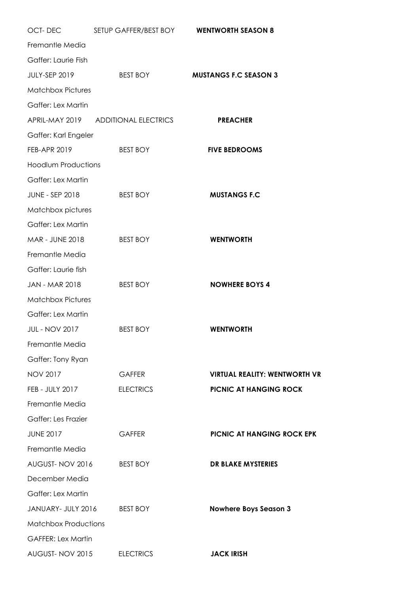| OCT-DEC                     | SETUP GAFFER/BEST BOY WENTWORTH SEASON 8 |                                      |
|-----------------------------|------------------------------------------|--------------------------------------|
| Fremantle Media             |                                          |                                      |
| Gaffer: Laurie Fish         |                                          |                                      |
| JULY-SEP 2019               | <b>BEST BOY</b>                          | <b>MUSTANGS F.C SEASON 3</b>         |
| <b>Matchbox Pictures</b>    |                                          |                                      |
| Gaffer: Lex Martin          |                                          |                                      |
|                             | APRIL-MAY 2019 ADDITIONAL ELECTRICS      | <b>PREACHER</b>                      |
| Gaffer: Karl Engeler        |                                          |                                      |
| <b>FEB-APR 2019</b>         | <b>BEST BOY</b>                          | <b>FIVE BEDROOMS</b>                 |
| <b>Hoodlum Productions</b>  |                                          |                                      |
| Gaffer: Lex Martin          |                                          |                                      |
| JUNE - SEP 2018             | <b>BEST BOY</b>                          | <b>MUSTANGS F.C</b>                  |
| Matchbox pictures           |                                          |                                      |
| Gaffer: Lex Martin          |                                          |                                      |
| MAR - JUNE 2018             | <b>BEST BOY</b>                          | <b>WENTWORTH</b>                     |
| Fremantle Media             |                                          |                                      |
| Gaffer: Laurie fish         |                                          |                                      |
| JAN - MAR 2018              | <b>BEST BOY</b>                          | <b>NOWHERE BOYS 4</b>                |
| <b>Matchbox Pictures</b>    |                                          |                                      |
| Gaffer: Lex Martin          |                                          |                                      |
| <b>JUL - NOV 2017</b>       | <b>BEST BOY</b>                          | <b>WENTWORTH</b>                     |
| Fremantle Media             |                                          |                                      |
| Gaffer: Tony Ryan           |                                          |                                      |
| <b>NOV 2017</b>             | <b>GAFFER</b>                            | <b>VIRTUAL REALITY: WENTWORTH VR</b> |
| FEB - JULY 2017             | <b>ELECTRICS</b>                         | PICNIC AT HANGING ROCK               |
| Fremantle Media             |                                          |                                      |
| <b>Gaffer: Les Frazier</b>  |                                          |                                      |
| <b>JUNE 2017</b>            | <b>GAFFER</b>                            | PICNIC AT HANGING ROCK EPK           |
| Fremantle Media             |                                          |                                      |
| AUGUST-NOV 2016             | <b>BEST BOY</b>                          | DR BLAKE MYSTERIES                   |
| December Media              |                                          |                                      |
| Gaffer: Lex Martin          |                                          |                                      |
| JANUARY- JULY 2016          | <b>BEST BOY</b>                          | <b>Nowhere Boys Season 3</b>         |
| <b>Matchbox Productions</b> |                                          |                                      |
| <b>GAFFER: Lex Martin</b>   |                                          |                                      |
| AUGUST-NOV 2015             | <b>ELECTRICS</b>                         | <b>JACK IRISH</b>                    |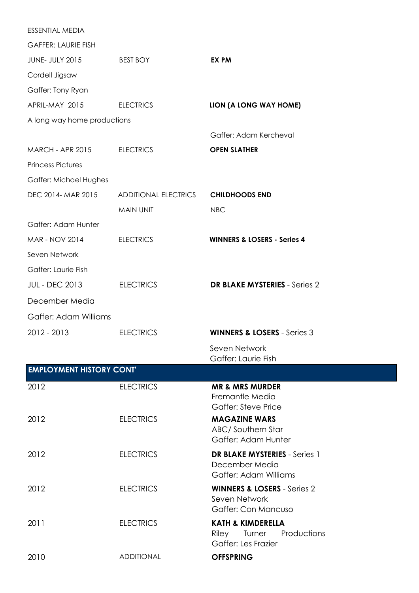| <b>ESSENTIAL MEDIA</b>          |                             |                                                         |
|---------------------------------|-----------------------------|---------------------------------------------------------|
| <b>GAFFER: LAURIE FISH</b>      |                             |                                                         |
| <b>JUNE- JULY 2015</b>          | <b>BEST BOY</b>             | EX PM                                                   |
| Cordell Jigsaw                  |                             |                                                         |
| Gaffer: Tony Ryan               |                             |                                                         |
| APRIL-MAY 2015                  | <b>ELECTRICS</b>            | LION (A LONG WAY HOME)                                  |
| A long way home productions     |                             |                                                         |
|                                 |                             | Gaffer: Adam Kercheval                                  |
| <b>MARCH - APR 2015</b>         | <b>ELECTRICS</b>            | <b>OPEN SLATHER</b>                                     |
| <b>Princess Pictures</b>        |                             |                                                         |
| Gaffer: Michael Hughes          |                             |                                                         |
| DEC 2014- MAR 2015              | <b>ADDITIONAL ELECTRICS</b> | <b>CHILDHOODS END</b>                                   |
|                                 | MAIN UNIT                   | <b>NBC</b>                                              |
| Gaffer: Adam Hunter             |                             |                                                         |
| <b>MAR - NOV 2014</b>           | <b>ELECTRICS</b>            | <b>WINNERS &amp; LOSERS - Series 4</b>                  |
| Seven Network                   |                             |                                                         |
| Gaffer: Laurie Fish             |                             |                                                         |
| <b>JUL - DEC 2013</b>           | <b>ELECTRICS</b>            | <b>DR BLAKE MYSTERIES - Series 2</b>                    |
| December Media                  |                             |                                                         |
| Gaffer: Adam Williams           |                             |                                                         |
| 2012 - 2013                     | <b>ELECTRICS</b>            | <b>WINNERS &amp; LOSERS</b> - Series 3                  |
|                                 |                             | Seven Network                                           |
| <b>EMPLOYMENT HISTORY CONT'</b> |                             | Gaffer: Laurie Fish                                     |
|                                 |                             |                                                         |
| 2012                            | <b>ELECTRICS</b>            | <b>MR &amp; MRS MURDER</b><br>Fremantle Media           |
|                                 |                             | <b>Gaffer: Steve Price</b>                              |
| 2012                            | <b>ELECTRICS</b>            | <b>MAGAZINE WARS</b>                                    |
|                                 |                             | ABC/Southern Star<br>Gaffer: Adam Hunter                |
| 2012                            | <b>ELECTRICS</b>            | <b>DR BLAKE MYSTERIES</b> - Series 1                    |
|                                 |                             | December Media                                          |
|                                 |                             | Gaffer: Adam Williams                                   |
| 2012                            | <b>ELECTRICS</b>            | <b>WINNERS &amp; LOSERS</b> - Series 2<br>Seven Network |
|                                 |                             | Gaffer: Con Mancuso                                     |
| 2011                            | <b>ELECTRICS</b>            | <b>KATH &amp; KIMDERELLA</b>                            |
|                                 |                             | Productions<br>Riley<br>Turner<br>Gaffer: Les Frazier   |
| 2010                            | <b>ADDITIONAL</b>           | <b>OFFSPRING</b>                                        |
|                                 |                             |                                                         |